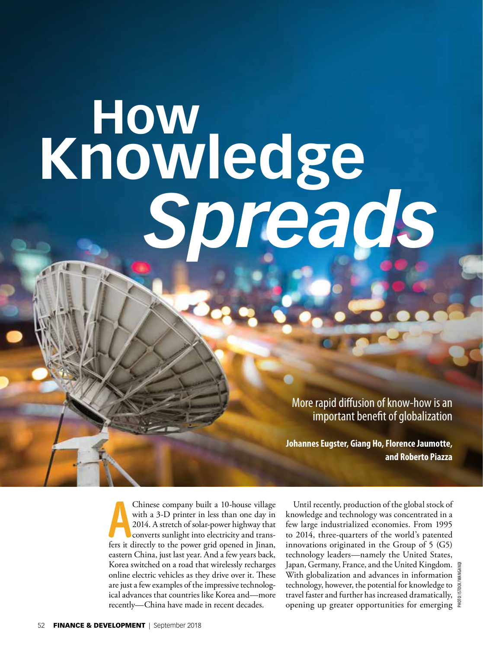# **How Knowledge**  *[Spreads](http://www.imf.org/external/pubs/ft/fandd/index.htm?0918pdf)*

More rapid diffusion of know-how is an important benefit of globalization

**Johannes Eugster, Giang Ho, Florence Jaumotte, and Roberto Piazza**

**A** Chinese company built a 10-house village with a 3-D printer in less than one day in 2014. A stretch of solar-power highway that converts sunlight into electricity and transfers it directly to the power grid opened in J Chinese company built a 10-house village with a 3-D printer in less than one day in 2014. A stretch of solar-power highway that converts sunlight into electricity and transeastern China, just last year. And a few years back, Korea switched on a road that wirelessly recharges online electric vehicles as they drive over it. These are just a few examples of the impressive technological advances that countries like Korea and—more recently—China have made in recent decades.

Until recently, production of the global stock of knowledge and technology was concentrated in a few large industrialized economies. From 1995 to 2014, three-quarters of the world's patented innovations originated in the Group of 5 (G5) technology leaders—namely the United States, Japan, Germany, France, and the United Kingdom. With globalization and advances in information technology, however, the potential for knowledge to travel faster and further has increased dramatically, opening up greater opportunities for emerging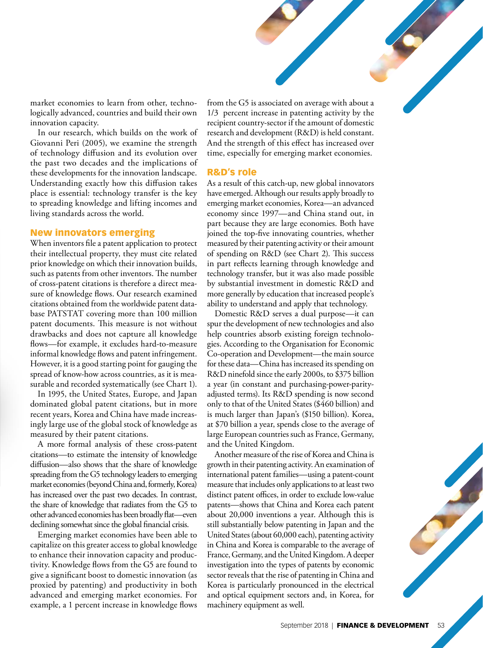market economies to learn from other, technologically advanced, countries and build their own innovation capacity.

In our research, which builds on the work of Giovanni Peri (2005), we examine the strength of technology diffusion and its evolution over [the past two decades and the implications of](http://www.imf.org/external/pubs/ft/fandd/index.htm?0918pdf)  these developments for the innovation landscape. Understanding exactly how this diffusion takes place is essential: technology transfer is the key to spreading knowledge and lifting incomes and living standards across the world.

# New innovators emerging

When inventors file a patent application to protect their intellectual property, they must cite related prior knowledge on which their innovation builds, such as patents from other inventors. The number of cross-patent citations is therefore a direct measure of knowledge flows. Our research examined citations obtained from the worldwide patent database PATSTAT covering more than 100 million patent documents. This measure is not without drawbacks and does not capture all knowledge flows—for example, it excludes hard-to-measure informal knowledge flows and patent infringement. However, it is a good starting point for gauging the spread of know-how across countries, as it is measurable and recorded systematically (see Chart 1).

In 1995, the United States, Europe, and Japan dominated global patent citations, but in more recent years, Korea and China have made increasingly large use of the global stock of knowledge as measured by their patent citations.

A more formal analysis of these cross-patent citations—to estimate the intensity of knowledge diffusion—also shows that the share of knowledge spreading from the G5 technology leaders to emerging market economies (beyond China and, formerly, Korea) has increased over the past two decades. In contrast, the share of knowledge that radiates from the G5 to other advanced economies has been broadly flat—even declining somewhat since the global financial crisis.

Emerging market economies have been able to capitalize on this greater access to global knowledge to enhance their innovation capacity and productivity. Knowledge flows from the G5 are found to give a significant boost to domestic innovation (as proxied by patenting) and productivity in both advanced and emerging market economies. For example, a 1 percent increase in knowledge flows

from the G5 is associated on average with about a 1/3 percent increase in patenting activity by the recipient country-sector if the amount of domestic research and development (R&D) is held constant. And the strength of this effect has increased over time, especially for emerging market economies.

## R&D's role

As a result of this catch-up, new global innovators have emerged. Although our results apply broadly to emerging market economies, Korea—an advanced economy since 1997—and China stand out, in part because they are large economies. Both have joined the top-five innovating countries, whether measured by their patenting activity or their amount of spending on R&D (see Chart 2). This success in part reflects learning through knowledge and technology transfer, but it was also made possible by substantial investment in domestic R&D and more generally by education that increased people's ability to understand and apply that technology.

Domestic R&D serves a dual purpose—it can spur the development of new technologies and also help countries absorb existing foreign technologies. According to the Organisation for Economic Co-operation and Development—the main source for these data—China has increased its spending on R&D ninefold since the early 2000s, to \$375 billion a year (in constant and purchasing-power-parityadjusted terms). Its R&D spending is now second only to that of the United States (\$460 billion) and is much larger than Japan's (\$150 billion). Korea, at \$70 billion a year, spends close to the average of large European countries such as France, Germany, and the United Kingdom.

Another measure of the rise of Korea and China is growth in their patenting activity. An examination of international patent families—using a patent-count measure that includes only applications to at least two distinct patent offices, in order to exclude low-value patents—shows that China and Korea each patent about 20,000 inventions a year. Although this is still substantially below patenting in Japan and the United States (about 60,000 each), patenting activity in China and Korea is comparable to the average of France, Germany, and the United Kingdom. A deeper investigation into the types of patents by economic sector reveals that the rise of patenting in China and Korea is particularly pronounced in the electrical and optical equipment sectors and, in Korea, for machinery equipment as well.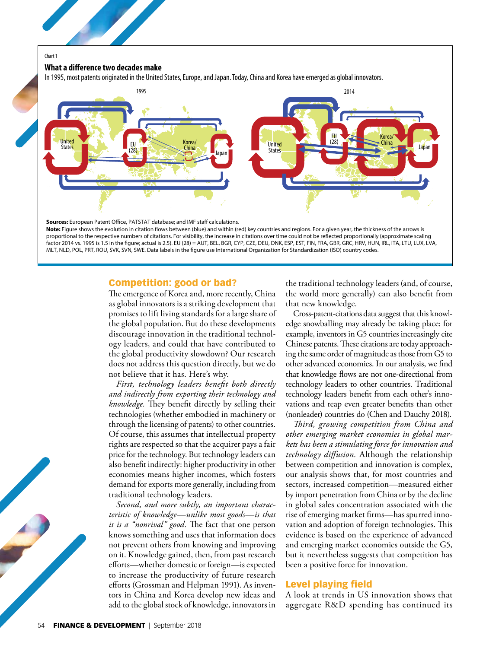#### Chart 1

#### **What a difference two decades make**

[In 1995, most patents originated in the United States, Europe, and Japan. Today, China and Korea have emerged as global innovators.](http://www.imf.org/external/pubs/ft/fandd/index.htm?0918pdf)



# Competition: good or bad?

The emergence of Korea and, more recently, China as global innovators is a striking development that promises to lift living standards for a large share of the global population. But do these developments discourage innovation in the traditional technology leaders, and could that have contributed to the global productivity slowdown? Our research does not address this question directly, but we do not believe that it has. Here's why.

*First, technology leaders benefit both directly and indirectly from exporting their technology and knowledge.* They benefit directly by selling their technologies (whether embodied in machinery or through the licensing of patents) to other countries. Of course, this assumes that intellectual property rights are respected so that the acquirer pays a fair price for the technology. But technology leaders can also benefit indirectly: higher productivity in other economies means higher incomes, which fosters demand for exports more generally, including from traditional technology leaders.

*Second, and more subtly, an important characteristic of knowledge—unlike most goods—is that it is a "nonrival" good.* The fact that one person knows something and uses that information does not prevent others from knowing and improving on it. Knowledge gained, then, from past research efforts—whether domestic or foreign—is expected to increase the productivity of future research efforts (Grossman and Helpman 1991). As inventors in China and Korea develop new ideas and add to the global stock of knowledge, innovators in the traditional technology leaders (and, of course, the world more generally) can also benefit from that new knowledge.

Cross-patent-citations data suggest that this knowledge snowballing may already be taking place: for example, inventors in G5 countries increasingly cite Chinese patents. These citations are today approaching the same order of magnitude as those from G5 to other advanced economies. In our analysis, we find that knowledge flows are not one-directional from technology leaders to other countries. Traditional technology leaders benefit from each other's innovations and reap even greater benefits than other (nonleader) countries do (Chen and Dauchy 2018).

*Third, growing competition from China and other emerging market economies in global markets has been a stimulating force for innovation and technology diffusion.* Although the relationship between competition and innovation is complex, our analysis shows that, for most countries and sectors, increased competition—measured either by import penetration from China or by the decline in global sales concentration associated with the rise of emerging market firms—has spurred innovation and adoption of foreign technologies. This evidence is based on the experience of advanced and emerging market economies outside the G5, but it nevertheless suggests that competition has been a positive force for innovation.

# Level playing field

A look at trends in US innovation shows that aggregate R&D spending has continued its